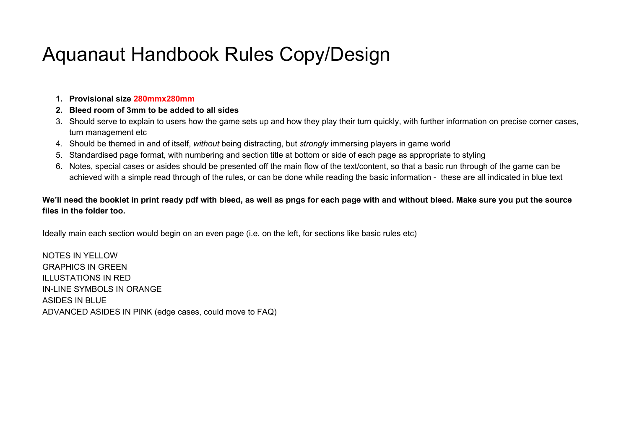# Aquanaut Handbook Rules Copy/Design

- **1. Provisional size 280mmx280mm**
- **2. Bleed room of 3mm to be added to all sides**
- 3. Should serve to explain to users how the game sets up and how they play their turn quickly, with further information on precise corner cases, turn management etc
- 4. Should be themed in and of itself, *without* being distracting, but *strongly* immersing players in game world
- 5. Standardised page format, with numbering and section title at bottom or side of each page as appropriate to styling
- 6. Notes, special cases or asides should be presented off the main flow of the text/content, so that a basic run through of the game can be achieved with a simple read through of the rules, or can be done while reading the basic information - these are all indicated in blue text

#### We'll need the booklet in print ready pdf with bleed, as well as pngs for each page with and without bleed. Make sure you put the source **files in the folder too.**

Ideally main each section would begin on an even page (i.e. on the left, for sections like basic rules etc)

NOTES IN YELLOW GRAPHICS IN GREEN ILLUSTATIONS IN RED IN-LINE SYMBOLS IN ORANGE ASIDES IN BLUE ADVANCED ASIDES IN PINK (edge cases, could move to FAQ)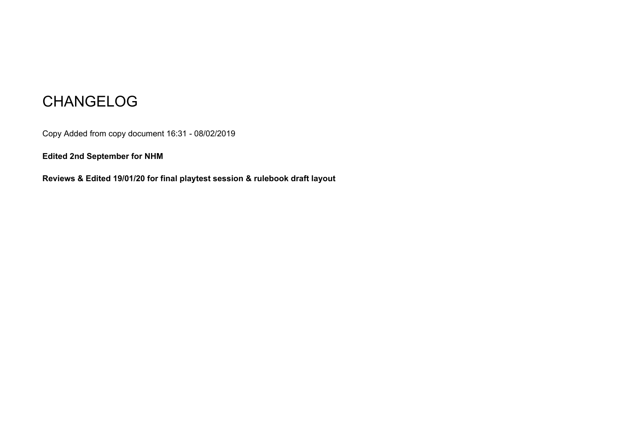## CHANGELOG

Copy Added from copy document 16:31 - 08/02/2019

**Edited 2nd September for NHM**

**Reviews & Edited 19/01/20 for final playtest session & rulebook draft layout**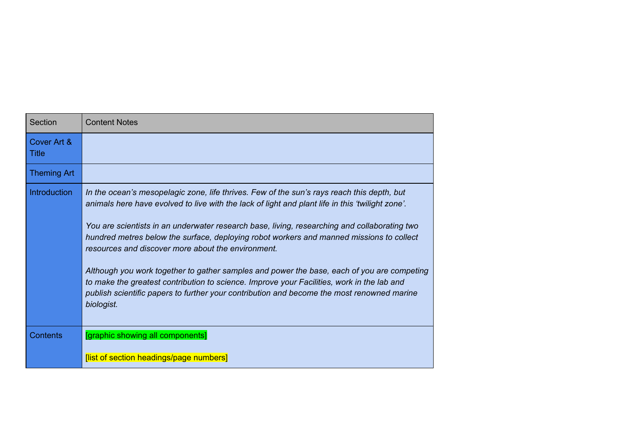| Section                     | <b>Content Notes</b>                                                                                                                                                                                                                                                                                                                                                                                                                                                                                                                                                                                                                                                                                                                                     |
|-----------------------------|----------------------------------------------------------------------------------------------------------------------------------------------------------------------------------------------------------------------------------------------------------------------------------------------------------------------------------------------------------------------------------------------------------------------------------------------------------------------------------------------------------------------------------------------------------------------------------------------------------------------------------------------------------------------------------------------------------------------------------------------------------|
| Cover Art &<br><b>Title</b> |                                                                                                                                                                                                                                                                                                                                                                                                                                                                                                                                                                                                                                                                                                                                                          |
| <b>Theming Art</b>          |                                                                                                                                                                                                                                                                                                                                                                                                                                                                                                                                                                                                                                                                                                                                                          |
| <b>Introduction</b>         | In the ocean's mesopelagic zone, life thrives. Few of the sun's rays reach this depth, but<br>animals here have evolved to live with the lack of light and plant life in this 'twilight zone'.<br>You are scientists in an underwater research base, living, researching and collaborating two<br>hundred metres below the surface, deploying robot workers and manned missions to collect<br>resources and discover more about the environment.<br>Although you work together to gather samples and power the base, each of you are competing<br>to make the greatest contribution to science. Improve your Facilities, work in the lab and<br>publish scientific papers to further your contribution and become the most renowned marine<br>biologist. |
| <b>Contents</b>             | [graphic showing all components]<br>[list of section headings/page numbers]                                                                                                                                                                                                                                                                                                                                                                                                                                                                                                                                                                                                                                                                              |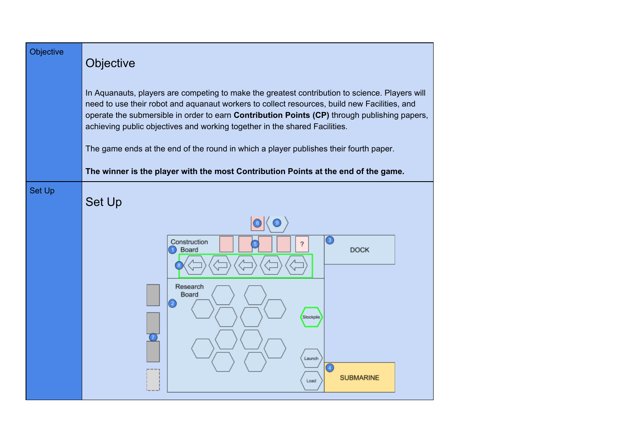| Objective     | Objective                                                                                                                                                                                                                                                                                                                                                                    |
|---------------|------------------------------------------------------------------------------------------------------------------------------------------------------------------------------------------------------------------------------------------------------------------------------------------------------------------------------------------------------------------------------|
|               | In Aquanauts, players are competing to make the greatest contribution to science. Players will<br>need to use their robot and aquanaut workers to collect resources, build new Facilities, and<br>operate the submersible in order to earn Contribution Points (CP) through publishing papers,<br>achieving public objectives and working together in the shared Facilities. |
|               | The game ends at the end of the round in which a player publishes their fourth paper.                                                                                                                                                                                                                                                                                        |
|               | The winner is the player with the most Contribution Points at the end of the game.                                                                                                                                                                                                                                                                                           |
| <b>Set Up</b> | <b>Set Up</b>                                                                                                                                                                                                                                                                                                                                                                |
|               | $_{\odot}$<br>Construction<br>2<br><b>DOCK</b><br>Board                                                                                                                                                                                                                                                                                                                      |
|               | Research<br>Board<br>Stockpile                                                                                                                                                                                                                                                                                                                                               |
|               | Launch<br>⊙<br><b>SUBMARINE</b><br>Load                                                                                                                                                                                                                                                                                                                                      |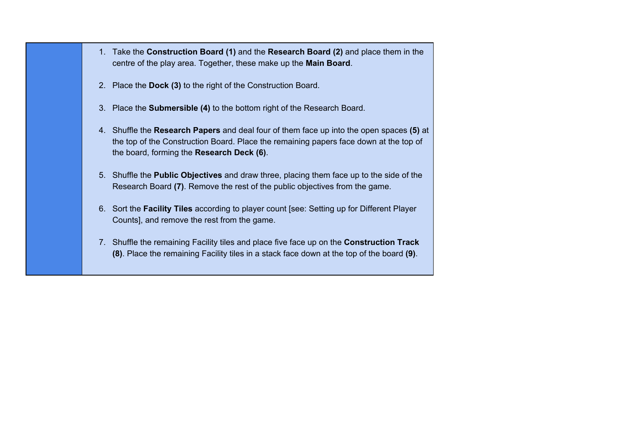- 1. Take the **Construction Board (1)** and the **Research Board (2)** and place them in the centre of the play area. Together, these make up the **Main Board**.
- 2. Place the **Dock (3)** to the right of the Construction Board.
- 3. Place the **Submersible (4)** to the bottom right of the Research Board.
- 4. Shuffle the **Research Papers** and deal four of them face up into the open spaces **(5)** at the top of the Construction Board. Place the remaining papers face down at the top of the board, forming the **Research Deck (6)**.
- 5. Shuffle the **Public Objectives** and draw three, placing them face up to the side of the Research Board **(7)**. Remove the rest of the public objectives from the game.
- 6. Sort the **Facility Tiles** according to player count [see: Setting up for Different Player Counts], and remove the rest from the game.
- 7. Shuffle the remaining Facility tiles and place five face up on the **Construction Track (8)**. Place the remaining Facility tiles in a stack face down at the top of the board **(9)**.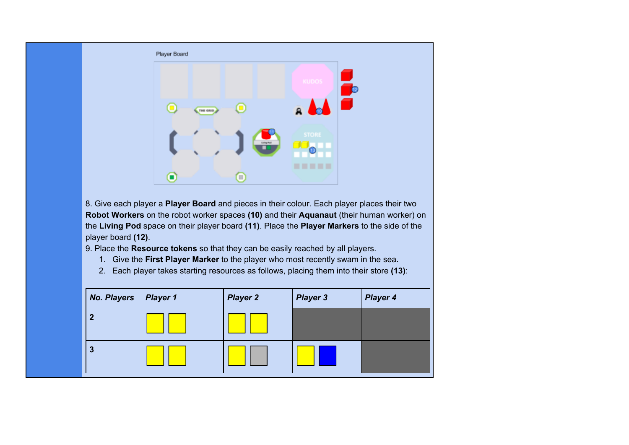

8. Give each player a **Player Board** and pieces in their colour. Each player places their two **Robot Workers** on the robot worker spaces **(10)** and their **Aquanaut** (their human worker) on the **Living Pod** space on their player board **(11)**. Place the **Player Markers** to the side of the player board **(12)**.

9. Place the **Resource tokens** so that they can be easily reached by all players.

- 1. Give the **First Player Marker** to the player who most recently swam in the sea.
- 2. Each player takes starting resources as follows, placing them into their store **(13)**:

| <b>No. Players</b> | $\vert$ Player 1 | <b>Player 2</b> | <b>Player 3</b> | <b>Player 4</b> |
|--------------------|------------------|-----------------|-----------------|-----------------|
| ٠                  |                  |                 |                 |                 |
| 3                  |                  |                 |                 |                 |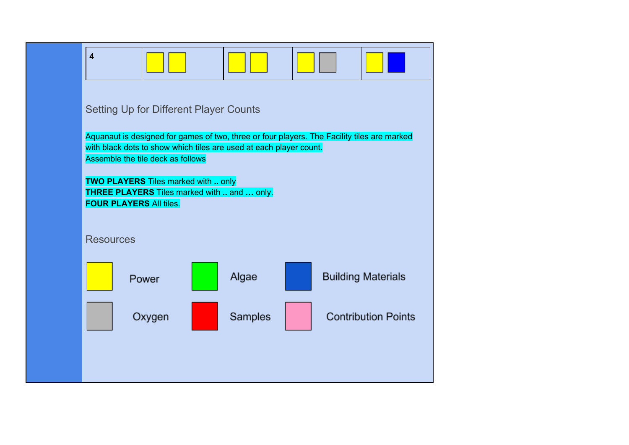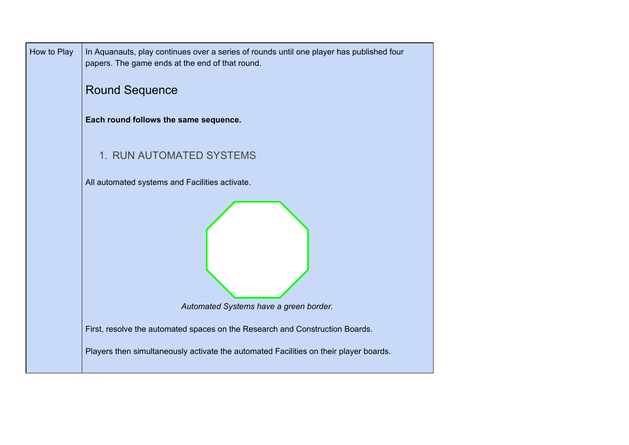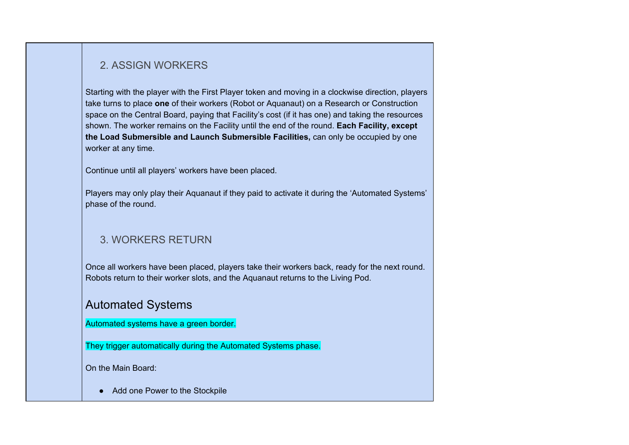#### 2. ASSIGN WORKERS

Starting with the player with the First Player token and moving in a clockwise direction, players take turns to place **one** of their workers (Robot or Aquanaut) on a Research or Construction space on the Central Board, paying that Facility's cost (if it has one) and taking the resources shown. The worker remains on the Facility until the end of the round. **Each Facility, except the Load Submersible and Launch Submersible Facilities,** can only be occupied by one worker at any time.

Continue until all players' workers have been placed.

Players may only play their Aquanaut if they paid to activate it during the 'Automated Systems' phase of the round.

### 3. WORKERS RETURN

Once all workers have been placed, players take their workers back, ready for the next round. Robots return to their worker slots, and the Aquanaut returns to the Living Pod.

### Automated Systems

Automated systems have a green border.

They trigger automatically during the Automated Systems phase.

On the Main Board:

● Add one Power to the Stockpile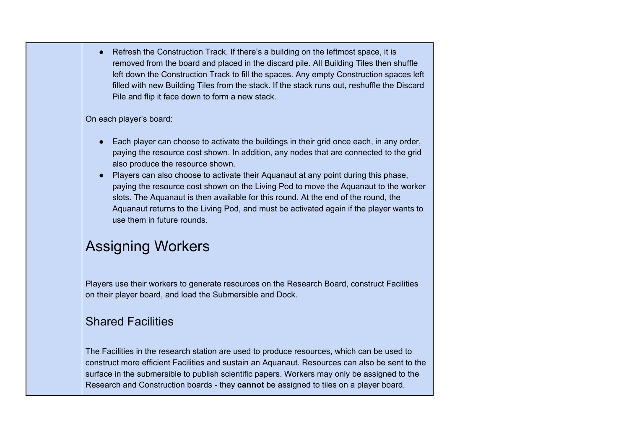● Refresh the Construction Track. If there's a building on the leftmost space, it is removed from the board and placed in the discard pile. All Building Tiles then shuffle left down the Construction Track to fill the spaces. Any empty Construction spaces left filled with new Building Tiles from the stack. If the stack runs out, reshuffle the Discard Pile and flip it face down to form a new stack.

On each player's board:

- Each player can choose to activate the buildings in their grid once each, in any order, paying the resource cost shown. In addition, any nodes that are connected to the grid also produce the resource shown.
- Players can also choose to activate their Aquanaut at any point during this phase, paying the resource cost shown on the Living Pod to move the Aquanaut to the worker slots. The Aquanaut is then available for this round. At the end of the round, the Aquanaut returns to the Living Pod, and must be activated again if the player wants to use them in future rounds.

## Assigning Workers

Players use their workers to generate resources on the Research Board, construct Facilities on their player board, and load the Submersible and Dock.

## Shared Facilities

The Facilities in the research station are used to produce resources, which can be used to construct more efficient Facilities and sustain an Aquanaut. Resources can also be sent to the surface in the submersible to publish scientific papers. Workers may only be assigned to the Research and Construction boards - they **cannot** be assigned to tiles on a player board.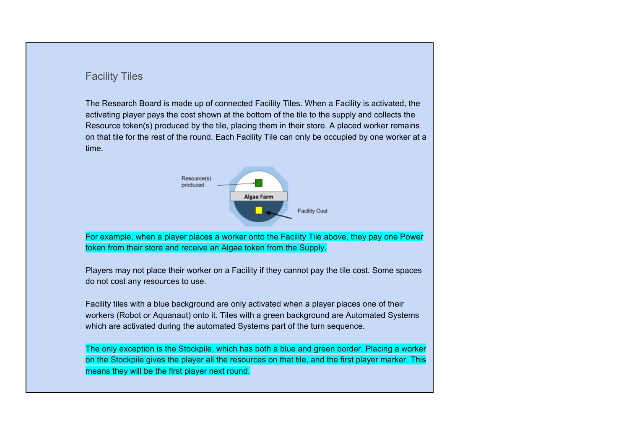#### Facility Tiles

The Research Board is made up of connected Facility Tiles. When a Facility is activated, the activating player pays the cost shown at the bottom of the tile to the supply and collects the Resource token(s) produced by the tile, placing them in their store. A placed worker remains on that tile for the rest of the round. Each Facility Tile can only be occupied by one worker at a time.



For example, when a player places a worker onto the Facility Tile above, they pay one Power token from their store and receive an Algae token from the Supply.

Players may not place their worker on a Facility if they cannot pay the tile cost. Some spaces do not cost any resources to use.

Facility tiles with a blue background are only activated when a player places one of their workers (Robot or Aquanaut) onto it. Tiles with a green background are Automated Systems which are activated during the automated Systems part of the turn sequence.

The only exception is the Stockpile, which has both a blue and green border. Placing a worker on the Stockpile gives the player all the resources on that tile, and the first player marker. This means they will be the first player next round.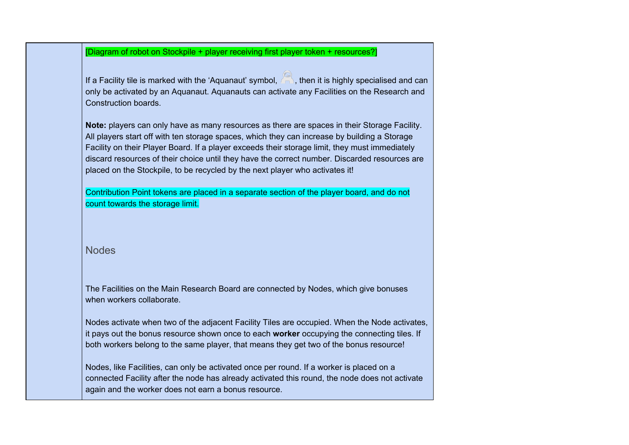[Diagram of robot on Stockpile + player receiving first player token + resources?]

If a Facility tile is marked with the 'Aquanaut' symbol,  $\overline{\mathbb{R}}$ , then it is highly specialised and can only be activated by an Aquanaut. Aquanauts can activate any Facilities on the Research and Construction boards.

**Note:** players can only have as many resources as there are spaces in their Storage Facility. All players start off with ten storage spaces, which they can increase by building a Storage Facility on their Player Board. If a player exceeds their storage limit, they must immediately discard resources of their choice until they have the correct number. Discarded resources are placed on the Stockpile, to be recycled by the next player who activates it!

Contribution Point tokens are placed in a separate section of the player board, and do not count towards the storage limit.

Nodes

The Facilities on the Main Research Board are connected by Nodes, which give bonuses when workers collaborate.

Nodes activate when two of the adjacent Facility Tiles are occupied. When the Node activates, it pays out the bonus resource shown once to each **worker** occupying the connecting tiles. If both workers belong to the same player, that means they get two of the bonus resource!

Nodes, like Facilities, can only be activated once per round. If a worker is placed on a connected Facility after the node has already activated this round, the node does not activate again and the worker does not earn a bonus resource.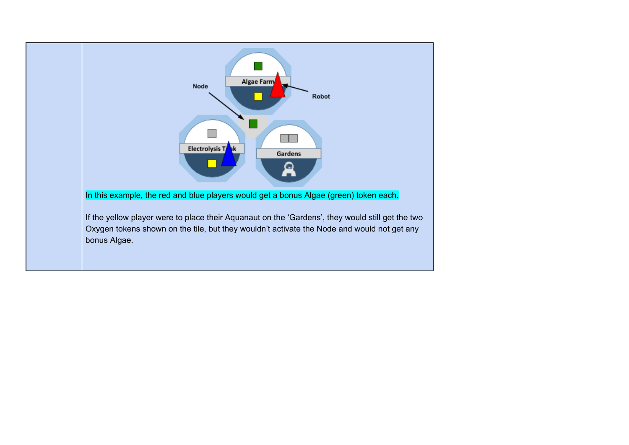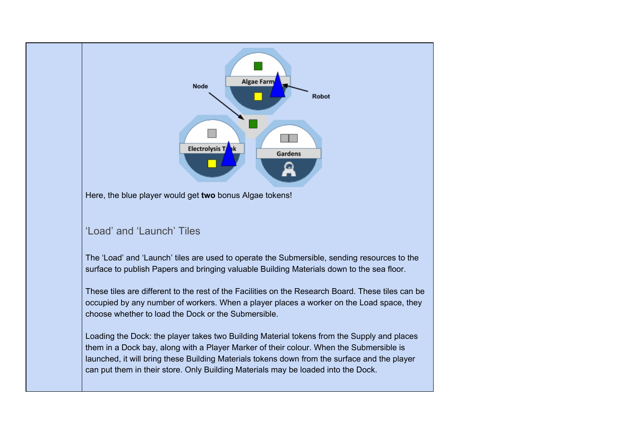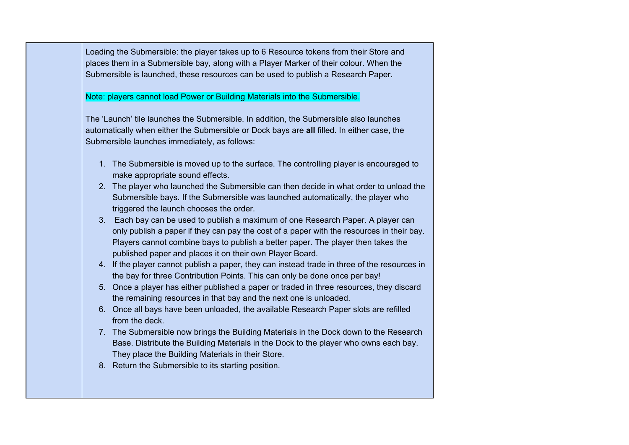Loading the Submersible: the player takes up to 6 Resource tokens from their Store and places them in a Submersible bay, along with a Player Marker of their colour. When the Submersible is launched, these resources can be used to publish a Research Paper.

Note: players cannot load Power or Building Materials into the Submersible.

The 'Launch' tile launches the Submersible. In addition, the Submersible also launches automatically when either the Submersible or Dock bays are **all** filled. In either case, the Submersible launches immediately, as follows:

- 1. The Submersible is moved up to the surface. The controlling player is encouraged to make appropriate sound effects.
- 2. The player who launched the Submersible can then decide in what order to unload the Submersible bays. If the Submersible was launched automatically, the player who triggered the launch chooses the order.
- 3. Each bay can be used to publish a maximum of one Research Paper. A player can only publish a paper if they can pay the cost of a paper with the resources in their bay. Players cannot combine bays to publish a better paper. The player then takes the published paper and places it on their own Player Board.
- 4. If the player cannot publish a paper, they can instead trade in three of the resources in the bay for three Contribution Points. This can only be done once per bay!
- 5. Once a player has either published a paper or traded in three resources, they discard the remaining resources in that bay and the next one is unloaded.
- 6. Once all bays have been unloaded, the available Research Paper slots are refilled from the deck.
- 7. The Submersible now brings the Building Materials in the Dock down to the Research Base. Distribute the Building Materials in the Dock to the player who owns each bay. They place the Building Materials in their Store.
- 8. Return the Submersible to its starting position.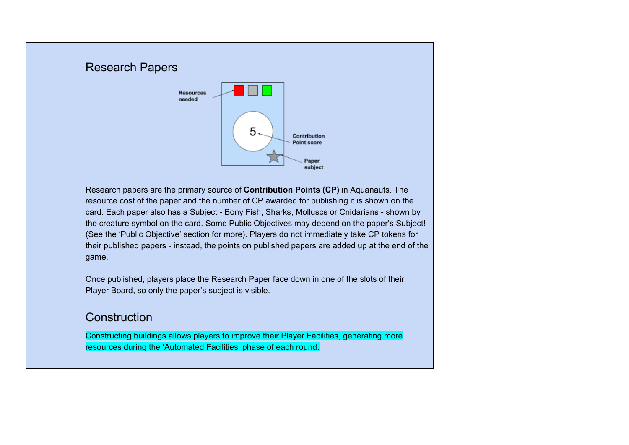## Research Papers **Resources** needed  $5.$ Contribution Point score Paper subject Research papers are the primary source of **Contribution Points (CP)** in Aquanauts. The resource cost of the paper and the number of CP awarded for publishing it is shown on the

card. Each paper also has a Subject - Bony Fish, Sharks, Molluscs or Cnidarians - shown by the creature symbol on the card. Some Public Objectives may depend on the paper's Subject! (See the 'Public Objective' section for more). Players do not immediately take CP tokens for their published papers - instead, the points on published papers are added up at the end of the game.

Once published, players place the Research Paper face down in one of the slots of their Player Board, so only the paper's subject is visible.

### **Construction**

Constructing buildings allows players to improve their Player Facilities, generating more resources during the 'Automated Facilities' phase of each round.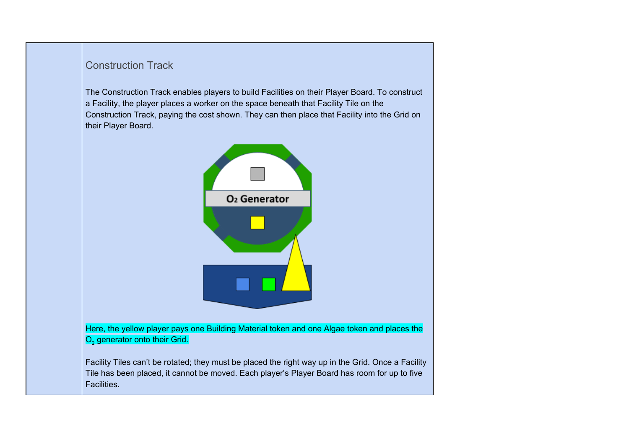#### Construction Track

The Construction Track enables players to build Facilities on their Player Board. To construct a Facility, the player places a worker on the space beneath that Facility Tile on the Construction Track, paying the cost shown. They can then place that Facility into the Grid on their Player Board.



Facility Tiles can't be rotated; they must be placed the right way up in the Grid. Once a Facility Tile has been placed, it cannot be moved. Each player's Player Board has room for up to five Facilities.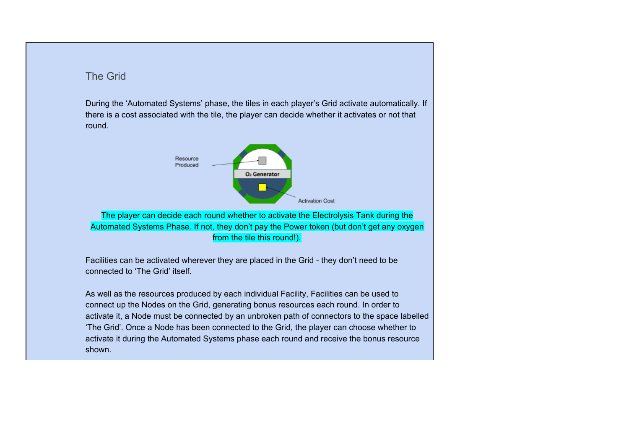

During the 'Automated Systems' phase, the tiles in each player's Grid activate automatically. If there is a cost associated with the tile, the player can decide whether it activates or not that round.



The player can decide each round whether to activate the Electrolysis Tank during the Automated Systems Phase. If not, they don't pay the Power token (but don't get any oxygen from the tile this round!).

Facilities can be activated wherever they are placed in the Grid - they don't need to be connected to 'The Grid' itself.

As well as the resources produced by each individual Facility, Facilities can be used to connect up the Nodes on the Grid, generating bonus resources each round. In order to activate it, a Node must be connected by an unbroken path of connectors to the space labelled 'The Grid'. Once a Node has been connected to the Grid, the player can choose whether to activate it during the Automated Systems phase each round and receive the bonus resource shown.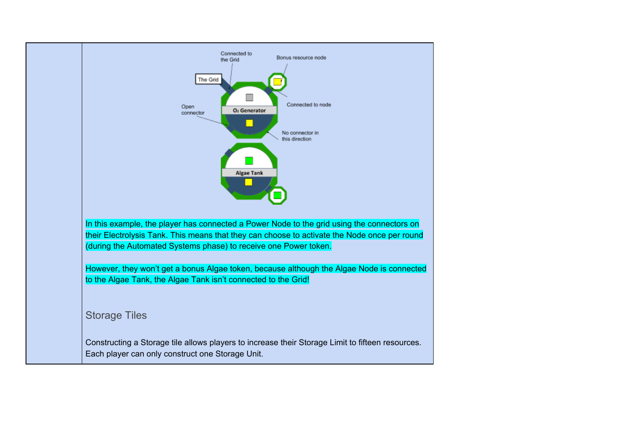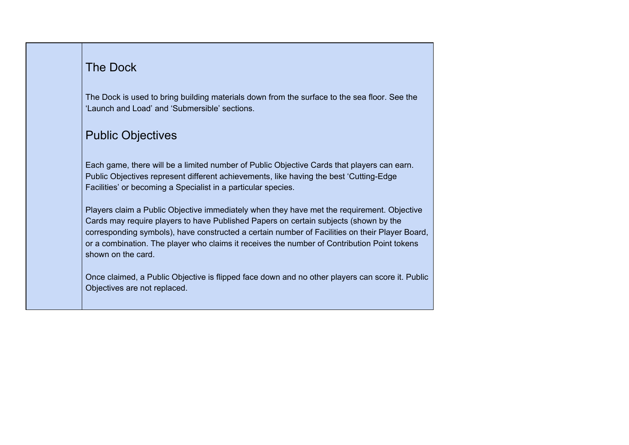## The Dock

The Dock is used to bring building materials down from the surface to the sea floor. See the 'Launch and Load' and 'Submersible' sections.

## Public Objectives

Each game, there will be a limited number of Public Objective Cards that players can earn. Public Objectives represent different achievements, like having the best 'Cutting-Edge Facilities' or becoming a Specialist in a particular species.

Players claim a Public Objective immediately when they have met the requirement. Objective Cards may require players to have Published Papers on certain subjects (shown by the corresponding symbols), have constructed a certain number of Facilities on their Player Board, or a combination. The player who claims it receives the number of Contribution Point tokens shown on the card.

Once claimed, a Public Objective is flipped face down and no other players can score it. Public Objectives are not replaced.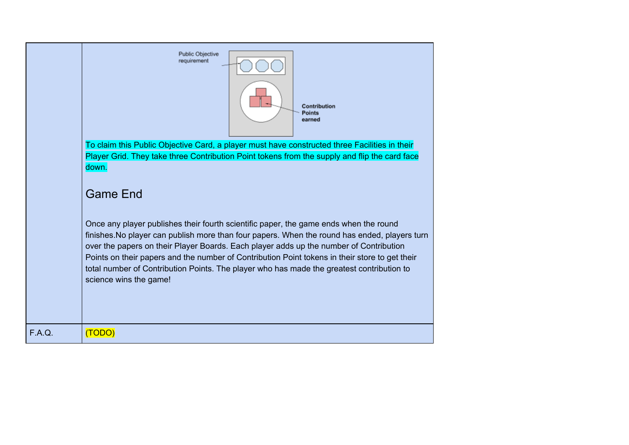|        | Public Objective<br>requirement<br>Contribution<br>Points<br>earned<br>To claim this Public Objective Card, a player must have constructed three Facilities in their                                                                                                                                                                                                                                                                                                                                      |
|--------|-----------------------------------------------------------------------------------------------------------------------------------------------------------------------------------------------------------------------------------------------------------------------------------------------------------------------------------------------------------------------------------------------------------------------------------------------------------------------------------------------------------|
|        | Player Grid. They take three Contribution Point tokens from the supply and flip the card face<br>down.<br><b>Game End</b>                                                                                                                                                                                                                                                                                                                                                                                 |
|        | Once any player publishes their fourth scientific paper, the game ends when the round<br>finishes. No player can publish more than four papers. When the round has ended, players turn<br>over the papers on their Player Boards. Each player adds up the number of Contribution<br>Points on their papers and the number of Contribution Point tokens in their store to get their<br>total number of Contribution Points. The player who has made the greatest contribution to<br>science wins the game! |
| F.A.Q. | (TODO)                                                                                                                                                                                                                                                                                                                                                                                                                                                                                                    |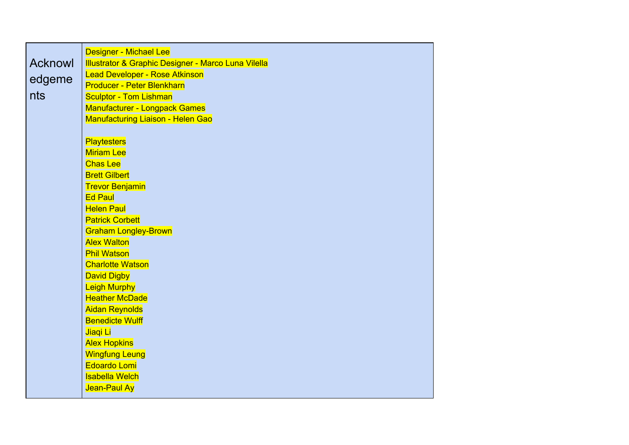|                | Designer - Michael Lee                                                |
|----------------|-----------------------------------------------------------------------|
| <b>Acknowl</b> | <b>Illustrator &amp; Graphic Designer - Marco Luna Vilella</b>        |
| edgeme         | <b>Lead Developer - Rose Atkinson</b>                                 |
| nts            | <b>Producer - Peter Blenkharn</b>                                     |
|                | <b>Sculptor - Tom Lishman</b><br><b>Manufacturer - Longpack Games</b> |
|                | <b>Manufacturing Liaison - Helen Gao</b>                              |
|                |                                                                       |
|                | <b>Playtesters</b>                                                    |
|                | <b>Miriam Lee</b>                                                     |
|                | <b>Chas Lee</b>                                                       |
|                | <b>Brett Gilbert</b>                                                  |
|                | <b>Trevor Benjamin</b>                                                |
|                | <b>Ed Paul</b>                                                        |
|                | <b>Helen Paul</b>                                                     |
|                | <b>Patrick Corbett</b>                                                |
|                | <b>Graham Longley-Brown</b>                                           |
|                | <b>Alex Walton</b>                                                    |
|                | <b>Phil Watson</b>                                                    |
|                | <b>Charlotte Watson</b>                                               |
|                | <b>David Digby</b>                                                    |
|                | <b>Leigh Murphy</b>                                                   |
|                | <b>Heather McDade</b>                                                 |
|                | <b>Aidan Reynolds</b>                                                 |
|                | <b>Benedicte Wulff</b>                                                |
|                | Jiaqi Li                                                              |
|                | <b>Alex Hopkins</b>                                                   |
|                | <b>Wingfung Leung</b><br>Edoardo Lomi                                 |
|                | <b>Isabella Welch</b>                                                 |
|                |                                                                       |
|                | Jean-Paul Ay                                                          |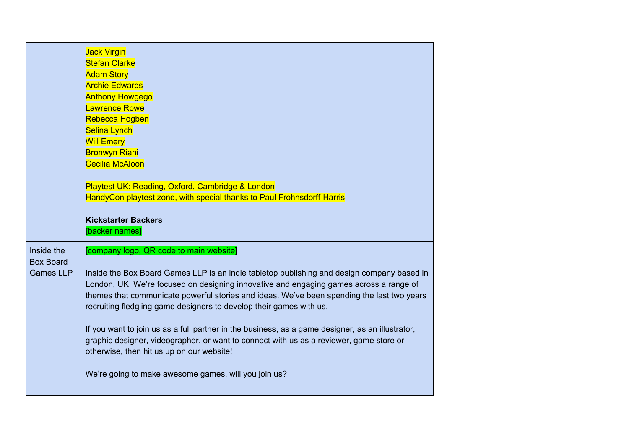|                                                    | <b>Jack Virgin</b><br><b>Stefan Clarke</b><br><b>Adam Story</b><br><b>Archie Edwards</b><br><b>Anthony Howgego</b><br><b>Lawrence Rowe</b><br>Rebecca Hogben<br><b>Selina Lynch</b><br><b>Will Emery</b><br><b>Bronwyn Riani</b><br><b>Cecilia McAloon</b><br>Playtest UK: Reading, Oxford, Cambridge & London<br>HandyCon playtest zone, with special thanks to Paul Frohnsdorff-Harris<br><b>Kickstarter Backers</b><br>[backer names]                                                                                                                                                                                                                                                                 |
|----------------------------------------------------|----------------------------------------------------------------------------------------------------------------------------------------------------------------------------------------------------------------------------------------------------------------------------------------------------------------------------------------------------------------------------------------------------------------------------------------------------------------------------------------------------------------------------------------------------------------------------------------------------------------------------------------------------------------------------------------------------------|
| Inside the<br><b>Box Board</b><br><b>Games LLP</b> | [company logo, QR code to main website]<br>Inside the Box Board Games LLP is an indie tabletop publishing and design company based in<br>London, UK. We're focused on designing innovative and engaging games across a range of<br>themes that communicate powerful stories and ideas. We've been spending the last two years<br>recruiting fledgling game designers to develop their games with us.<br>If you want to join us as a full partner in the business, as a game designer, as an illustrator,<br>graphic designer, videographer, or want to connect with us as a reviewer, game store or<br>otherwise, then hit us up on our website!<br>We're going to make awesome games, will you join us? |